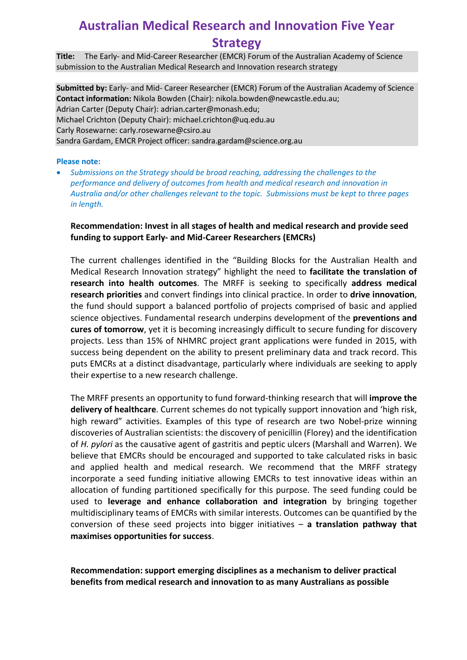## **Australian Medical Research and Innovation Five Year Strategy**

**Title:** The Early- and Mid-Career Researcher (EMCR) Forum of the Australian Academy of Science submission to the Australian Medical Research and Innovation research strategy

**Submitted by:** Early- and Mid- Career Researcher (EMCR) Forum of the Australian Academy of Science **Contact information:** Nikola Bowden (Chair): [nikola.bowden@newcastle.edu.au;](mailto:nikola.bowden@newcastle.edu.au) Adrian Carter (Deputy Chair): [adrian.carter@monash.edu;](mailto:adrian.carter@monash.edu) Michael Crichton (Deputy Chair): [michael.crichton@uq.edu.au](mailto:michael.crichton@uq.edu.au) Carly Rosewarne: carly.rosewarne@csiro.au Sandra Gardam, EMCR Project officer: sandra.gardam@science.org.au

#### **Please note:**

• *Submissions on the Strategy should be broad reaching, addressing the challenges to the performance and delivery of outcomes from health and medical research and innovation in Australia and/or other challenges relevant to the topic. Submissions must be kept to three pages in length.*

### **Recommendation: Invest in all stages of health and medical research and provide seed funding to support Early- and Mid-Career Researchers (EMCRs)**

The current challenges identified in the "Building Blocks for the Australian Health and Medical Research Innovation strategy" highlight the need to **facilitate the translation of research into health outcomes**. The MRFF is seeking to specifically **address medical research priorities** and convert findings into clinical practice. In order to **drive innovation**, the fund should support a balanced portfolio of projects comprised of basic and applied science objectives. Fundamental research underpins development of the **preventions and cures of tomorrow**, yet it is becoming increasingly difficult to secure funding for discovery projects. Less than 15% of NHMRC project grant applications were funded in 2015, with success being dependent on the ability to present preliminary data and track record. This puts EMCRs at a distinct disadvantage, particularly where individuals are seeking to apply their expertise to a new research challenge.

The MRFF presents an opportunity to fund forward-thinking research that will **improve the delivery of healthcare**. Current schemes do not typically support innovation and 'high risk, high reward" activities. Examples of this type of research are two Nobel-prize winning discoveries of Australian scientists: the discovery of penicillin (Florey) and the identification of *H. pylori* as the causative agent of gastritis and peptic ulcers (Marshall and Warren). We believe that EMCRs should be encouraged and supported to take calculated risks in basic and applied health and medical research. We recommend that the MRFF strategy incorporate a seed funding initiative allowing EMCRs to test innovative ideas within an allocation of funding partitioned specifically for this purpose. The seed funding could be used to **leverage and enhance collaboration and integration** by bringing together multidisciplinary teams of EMCRs with similar interests. Outcomes can be quantified by the conversion of these seed projects into bigger initiatives – **a translation pathway that maximises opportunities for success**.

**Recommendation: support emerging disciplines as a mechanism to deliver practical benefits from medical research and innovation to as many Australians as possible**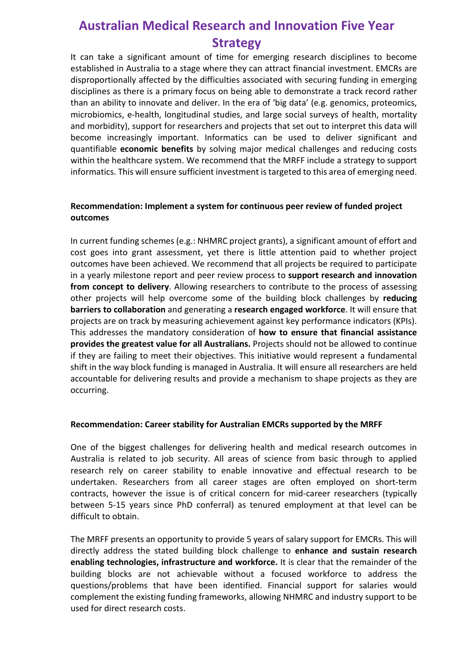# **Australian Medical Research and Innovation Five Year Strategy**

It can take a significant amount of time for emerging research disciplines to become established in Australia to a stage where they can attract financial investment. EMCRs are disproportionally affected by the difficulties associated with securing funding in emerging disciplines as there is a primary focus on being able to demonstrate a track record rather than an ability to innovate and deliver. In the era of 'big data' (e.g. genomics, proteomics, microbiomics, e-health, longitudinal studies, and large social surveys of health, mortality and morbidity), support for researchers and projects that set out to interpret this data will become increasingly important. Informatics can be used to deliver significant and quantifiable **economic benefits** by solving major medical challenges and reducing costs within the healthcare system. We recommend that the MRFF include a strategy to support informatics. This will ensure sufficient investment is targeted to this area of emerging need.

### **Recommendation: Implement a system for continuous peer review of funded project outcomes**

In current funding schemes (e.g.: NHMRC project grants), a significant amount of effort and cost goes into grant assessment, yet there is little attention paid to whether project outcomes have been achieved. We recommend that all projects be required to participate in a yearly milestone report and peer review process to **support research and innovation from concept to delivery**. Allowing researchers to contribute to the process of assessing other projects will help overcome some of the building block challenges by **reducing barriers to collaboration** and generating a **research engaged workforce**. It will ensure that projects are on track by measuring achievement against key performance indicators (KPIs). This addresses the mandatory consideration of **how to ensure that financial assistance provides the greatest value for all Australians.** Projects should not be allowed to continue if they are failing to meet their objectives. This initiative would represent a fundamental shift in the way block funding is managed in Australia. It will ensure all researchers are held accountable for delivering results and provide a mechanism to shape projects as they are occurring.

#### **Recommendation: Career stability for Australian EMCRs supported by the MRFF**

One of the biggest challenges for delivering health and medical research outcomes in Australia is related to job security. All areas of science from basic through to applied research rely on career stability to enable innovative and effectual research to be undertaken. Researchers from all career stages are often employed on short-term contracts, however the issue is of critical concern for mid-career researchers (typically between 5-15 years since PhD conferral) as tenured employment at that level can be difficult to obtain.

The MRFF presents an opportunity to provide 5 years of salary support for EMCRs. This will directly address the stated building block challenge to **enhance and sustain research enabling technologies, infrastructure and workforce.** It is clear that the remainder of the building blocks are not achievable without a focused workforce to address the questions/problems that have been identified. Financial support for salaries would complement the existing funding frameworks, allowing NHMRC and industry support to be used for direct research costs.